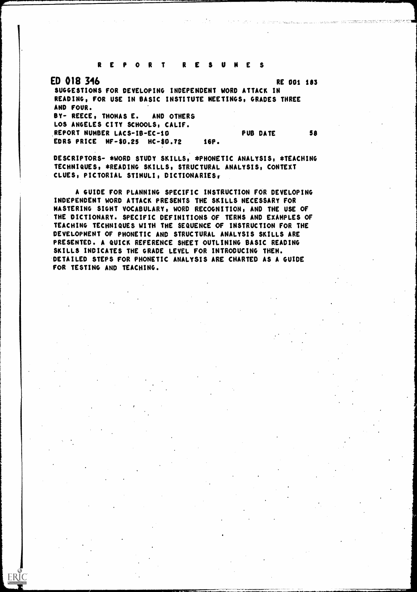REPORT RESUMES

 $\sum_{\mathcal{F}_{\text{full East Prodds} \text{by FBC}}} \begin{array}{c} \text{C} \\ \text{C} \end{array}$ 

ED 018 346 RE 001 183 SUGGESTIONS FOR DEVELOPING INDEPENDENT WORD ATTACK IN READING, FOR USE IN BASIC INSTITUTE MEETINGS, GRADES THREE AND FOUR. BY- REECE, THOMAS E. AND OTHERS LOS ANGELES CITY SCHOOLS, CALIF. REPORT NUMBER LACS-IB-EC-10 PUB DATE 58 EDRS PRICE MF-S0.25 HC-50.72 16P.

DESCRIPTORS- \*WORD STUDY SKILLS, \*PHONETIC ANALYSIS, \*TEACHING TECHNIQUES, \*READING SKILLS, STRUCTURAL ANALYSIS, CONTEXT CLUES, PICTORIAL STIMULI, DICTIONARIES,

A GUIDE FOR PLANNING SPECIFIC INSTRUCTION FOR DEVELOPING INDEPENDENT WORD ATTACK PRESENTS THE SKILLS NECESSARY FOR MASTERING SIGHT VOCABULARY, WORD RECOGNITION, AND THE USE OF THE DICTIONARY. SPECIFIC DEFINITIONS OF TERMS AND EXAMPLES OF TEACHING TECHNIQUES WITH THE SEQUENCE OF INSTRUCTION FOR THE DEVELOPMENT OF PHONETIC AND STRUCTURAL ANALYSIS SKILLS ARE PRESENTED. A QUICK REFERENCE SHEET OUTLINING BASIC READING SKILLS INDICATES THE GRADE LEVEL FOR INTRODUCING THEM. DETAILED STEPS FOR PHONETIC ANALYSIS ARE CHARTED AS A GUIDE FOR TESTING AND TEACHING.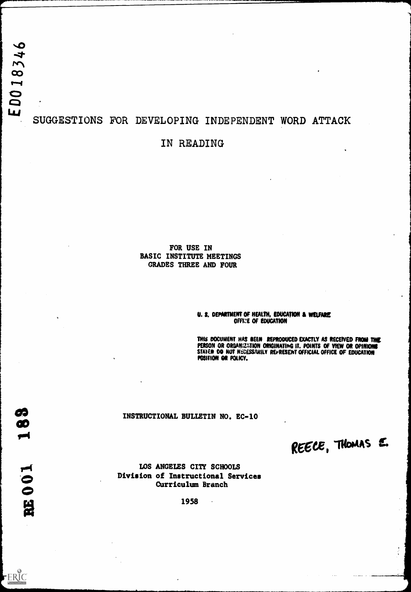# SUGGESTIONS FOR DEVELOPING INDEPENDENT WORD ATTACK

## IN READING

FOR USE IN BASIC INSTITUTE MEETINGS GRADES THREE AND FOUR

#### U. S. DEPARTMENT OF HEALTH, EDUCATION & WELFARE OFFICE OF EDUCATION

THIS DOCUMENT HAS BEEN REPRODUCED EXACTLY AS RECEIVED FROM THE PERSON OR ORGANIZATION ORIGINATING IT. POINTS OF VIEW OR OPINIONS STATED DO NOT NECESSARILY REFRESENT OFFICIAL OFFICE OF EDUCATION POSITION OR POLICY.

#### INSTRUCTIONAL BULLETIN NO. EC-10

REECE, THOMAS E.

LOS ANGELES CITY SCHOOLS Division of Instructional Services Curriculum Branch

1958

ERIC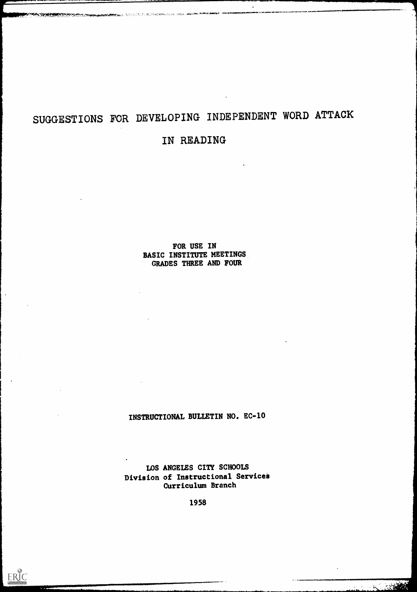# SUGGESTIONS FOR DEVELOPING INDEPENDENT WORD ATTACK

**ANDERS, ATT, J. P. P. M. PRESENTINA INA LAZZ** 

# IN READING

FOR USE IN BASIC INSTITUTE MEETINGS GRADES THREE AND FOUR

 $\mathcal{L}_{\bullet}$ 

ERIC

INSTRUCTIONAL BULLETIN NO. EC-10

LOS ANGELES CITY SCHOOLS Division of Instructional Services Curriculum Branch

1958

**BEATER**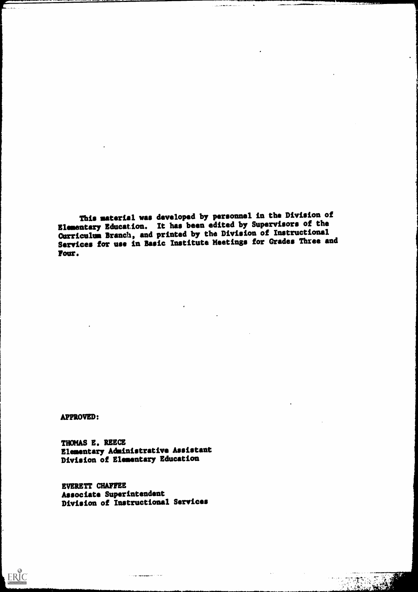This material vas developed by personnel in the Division of Elementary Education. It has been edited by Supervisors of the Curriculum Branch, and printed by the Division of Instructional Services for use in Basic Institute Meetings for Grades Three and Four.

 $\mathbf{R}^{(1)}$ 

a a constitution and a contract of the second second services and a contract of the second service of the service of the service of the service of the service of the service of the service of the service of the service of

**APPROVED:** 

 $\boxed{\frac{1}{\frac{1}{\sqrt{t_{\text{full Next}}}}\sum_{\text{Perioded by EHC}}}$ 

THOMAS E. REECE Elementary Administrative Assistant Division of Elementary Education

EVERETT CHAFFEE<br>Associate Superintendent Associate Superintendent Division of Instructional Services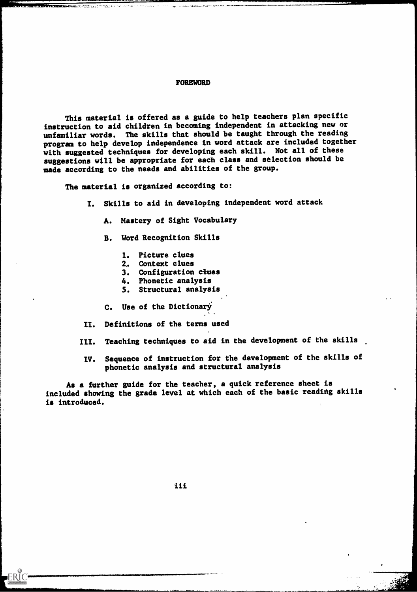#### FOREWORD

This material is offered as a guide to help teachers plan specific instruction to aid children in becoming independent in attacking new or unfamiliar words. The skills that should be taught through the reading program to help develop independence in word attack are included together with suggested techniques for developing each skill. Not all of these suggestions will be appropriate for each class and selection should be made according to the needs and abilities of the group.

The material is organized according to:

I. Skills to aid in developing independent word attack

A. Mastery of Sight Vocabulary

B. Word Recognition Skills

- 1. Picture clues
- 2,. Context clues
- 3. Configuration clues
- 4. Phonetic analysis
- 5. Structural analysis
- C. Use of the Dictionary
- II. Definitions of the terms used
- III. Teaching techniques to aid in the development of the skills
	- IV. Sequence of instruction for the development of the skills of phonetic analysis and structural analysis

As a further guide for the teacher, a quick reference sheet is included showing the grade level at which each of the basic reading skills is introduced.

iii

ERIC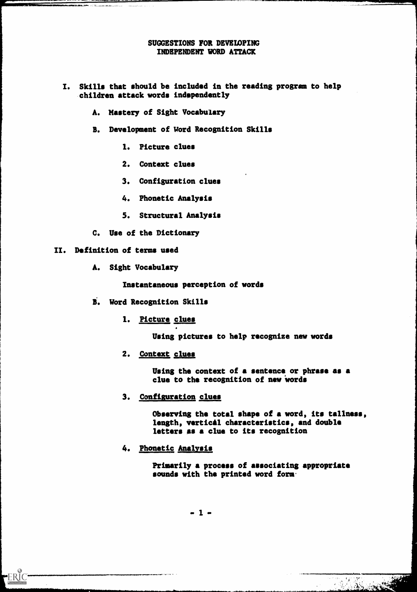#### SUGGESTIONS FOR DEVELOPING INDEPENDENT WORD ATTACK

- I. Skills that should be included in the reading program to help children attack words independently
	- A. Mastery of Sight Vocabulary
	- B. Development of Word Recognition Skills
		- 1. Picture clues
		- 2. Context clues
		- 3. Configuration clues
		- 4. Phonetic Analysis
		- 5. Structural Analysis
	- C. Use of the Dictionary

#### II. Definition of terms used

ERIC

a 2010 da xareen Marine Leon di L

A. Sight Vocabulary

Instantaneous perception of words

- S. Word Recognition Skills
	- 1. Picture clues

Using pictures to help recognize new words

2. Context clues

Using the context of a sentence or phrase as a clue to the recognition of new words

3. Configuration clues

Observing the total shape of a word, its tallness, length, vertical characteristics, and double letters as a clue to its recognition

4. Phonetic Analysis

Primarily a process of associating appropriate sounds with the printed word form.

The Company of the Company of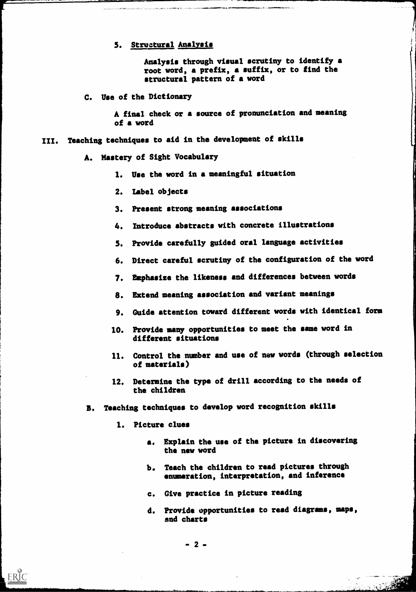#### 5. Structural Analysis

Analysis through visual scrutiny to identify a root word, a prefix, a suffix, or to find the structural pattern of a word

C. Use of the Dictionary

A final check or a source of pronunciation and meaning of a word

- III. Teaching techniques to aid in the development of skills
	- A. Mastery of Sight Vocabulary
		- 1. Use the word in a meaningful situation
		- 2. Label objects
		- 3. Present strong meaning associations
		- 4. Introduce abstracts with concrete illustrations
		- 5. Provide carefully guided oral language activities
		- 6. Direct careful scrutiny of the configuration of the word
		- 7. Emphasize the likeness and differences between words
		- S. Extend meaning association and variant meanings
		- 9. Guide attention toward different words with identical form
		- 10. Provide many opportunities to meet the same word in different situations
		- 11. Control the number and use of new words (through selection of materials)
		- 12. Determine the type of drill according to the needs of the children
	- B. Teaching techniques to develop word recognition skills
		- 1. Picture clues

ERIC

- a. Explain the use of the picture in discovering the new word
- b. Teach the children to read pictures through enumeration, interpretation, and inference
- Give practice in picture reading
- d. Provide opportunities to read diagrams, maps, and charts

- 2 -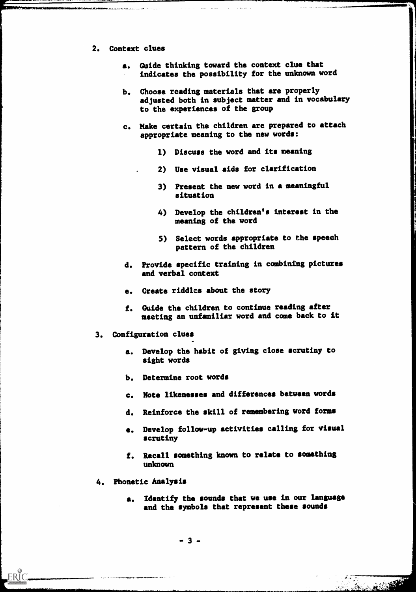2. Context clues

.<br>د د د د هم الاستفاد الاستفاد الاستفادة

- a. Guide thinking toward the context clue that indicates the possibility for the unknown word
- b. Choose reading materials that are properly adjusted both in subject matter and in vocabulary to the experiences of the group
- c. Make certain the children are prepared to attach appropriate meaning to the new words:
	- 1) Discuss the word and its meaning
	- 2) Use visual aids for clarification
	- 3) Present the new word in a meaningful situation
	- 4) Develop the children's interest in the meaning of the word
	- 5) Select words appropriate to the speech pattern of the children
- d. Provide specific training in combining pictures and verbal context
- e. Create riddles about the story
- f. Guide the children to continue reading after meeting an unfamiliar word and come back to it
- 3. Configuration clues
	- a. Develop the habit of giving close scrutiny to sight words
	- b. Determine root words
	- c. Note likenesses and differences between words
	- d. Reinforce the skill of remembering word forms
	- e. Develop follow-up activities calling for visual scrutiny
	- f. Recall something known to relate to something unknown
- 4. Phonetic Analysis
	- Identify the sounds that we use in our language and the symbols that represent these sounds

- 3 -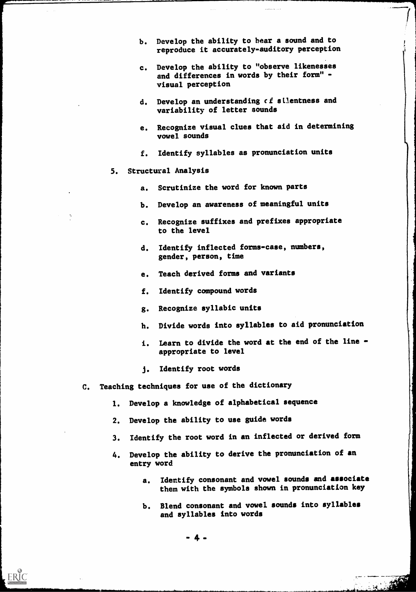- b. Develop the ability to hear a sound and to reproduce it accurately-auditory perception
- c. Develop the ability to "observe likenesses and differences in words by their form" visual perception
- d. Develop an understanding of silentness and variability of letter sounds
- e. Recognize visual clues that aid in determining vowel sounds
- f. Identify syllables as pronunciation units

#### 5. Structural Analysis

- a. Scrutinize the word for known parts
- b. Develop an awareness of meaningful units
- c. Recognize suffixes and prefixes appropriate to the level
- d. Identify inflected forms-case, numbers, gender, person, time
- e. Teach derived forms and variants
- f. Identify compound words
- g. Recognize syllabic units
- h. Divide words into syllables to aid pronunciation
- i. Learn to divide the word at the end of the line appropriate to level
- j. Identify root words
- C. Teaching techniques for use of the dictionary
	- 1. Develop a knowledge of alphabetical sequence
	- 2. Develop the ability to use guide words
	- 3. Identify the root word in an inflected or derived form
	- 4. Develop the ability to derive the pronunciation of an entry word
		- a. Identify consonant and vowel sounds and associate them with the symbols shown in pronunciation key
		- b. Blend consonant and vowel sounds into syllables and syllables into words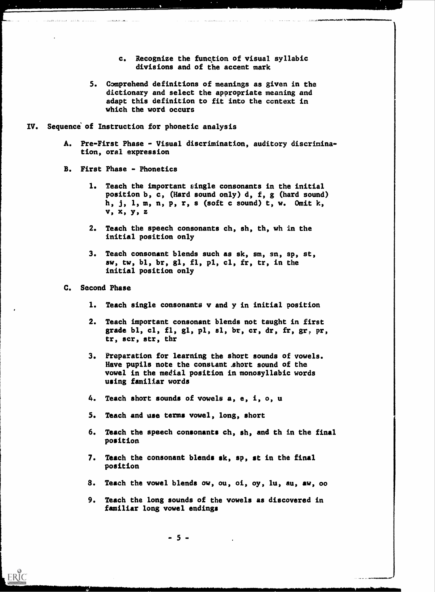- c. Recognize the function of visual syllabic divisions and of the accent mark
- 5. Comprehend definitions of meanings as given in the dictionary and select the appropriate meaning and adapt this definition to fit into the ccntext in which the word occurs
- IV. Sequence of Instruction for phonetic analysis
	- A. Pre-First Phase Visual discrimination, auditory discrimination, oral expression
	- B. First Phase Phonetics
		- 1. Teach the important single consonants in the initial position b, c, (Hard sound only) d, f, g (hard sound) h, j, 1, m, n, p, r, s (soft c sound) t, w. Omit k, v, x,y,z
		- 2. Teach the speech consonants ch, sh, th, wh in the initial position only
		- 3. Teach consonant blends such as sk, sm, sn, sp, st, aw, tw, bl, br, gl, fl, pl, cl, fr, tr, in the initial position only
	- C. Second Phase

ERIC

- 1. Teach single consonants v and y in initial position
- 2. Teach important consonant blends not taught in first grade bl, cl, fl, gl, pl, sl, br, cr, dr, fr, gr, pr, tr, scr, str, thr
- 3. Preparation for learning the short sounds of vowels. Have pupils note the constant .short sound of the vowel in the medial position in monosyllabic words using familiar words
- 4. Teach short sounds of vowels a, e, i, o, u
- 5. Teach and use terms vowel, long, short
- 6. Teach the speech consonants ch, sh, and th in the final position
- 7. Teach the consonant blends sk, sp, st in the final position
- 8. Teach the vowel blends ow, ou, oi, oy, lu, au, aw, 00
- 9. Teach the long sounds of the vowels as discovered in familiar long vowel endings

- 5 -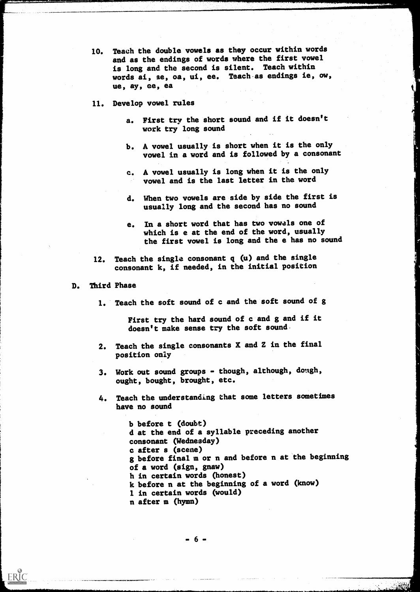- 10. Teach the double vowels as they occur within words and as the endings of words where the first vowel is long and the second is silent. Teach within words ai, ae, oa, ui, ee. Teach.as endings ie, ow, ue, ay, ee, ea
- 11. Develop vowel rules
	- a. First try the short sound and if it doesn't work try long sound
	- b. A vowel usually is short when it is the only vowel in a word and is followed by a consonant
	- c. A vowel usually is long when it is the only vowel and is the last letter in the word
	- d. When two vowels are side by side the first is usually long and the second has no sound
	- e. In a short word that has two vowels one of which is e at the end of the word, usually the first vowel is long and the e has no sound
- 12. Teach the single consonant q (u) and the single consonant k, if needed, in the initial position

#### D. Third Phase

1. Teach the soft sound of c and the soft sound of g

First try the hard sound of c and g and if it doesn't make sense try the soft sound.

- 2. Teach the single consonants X and Z in the final position only
- 3. Work out sound groups though, although, dough, ought, bought, brought, etc.
- 4. Teach the understanding that some letters sometimes have no sound

b before t (doubt) d at the end of a syllable preceding another consonant (Wednesday) c after s (scene) g before final m or n and before n at the beginning of a word (sign, gnaw) h in certain words (honest) k before n at the beginning of a word (know) 1 in certain words (would) n after m (hymn)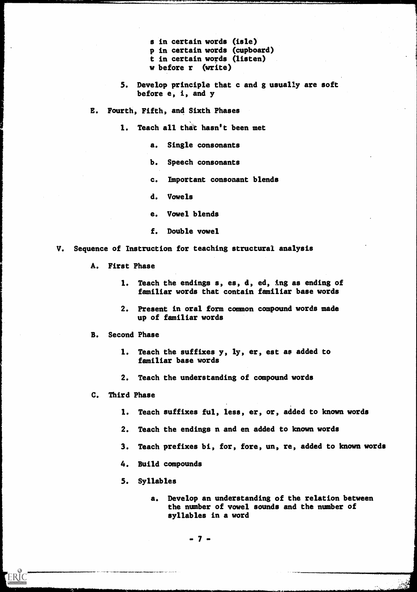- s in certain words (isle) p in certain words (cupboard) t in certain words (listen) w before r (write)
- 5. Develop principle that c and g usually are soft before e, i, and y
- E. Fourth, Fifth, and Sixth Phases
	- 1. Teach all that hasn't been met
		- a. Single consonants
		- b. Speech consonants
		- c. Important consonant blends
		- d. Vowels
		- e. Vowel blends
		- f. Double vowel
- V. Sequence of Instruction for teaching structural analysis
	- A. First Phase
		- 1. Teach the endings s, es, d, ed, ing as ending of familiar words that contain familiar base words
		- 2. Present in oral form common compound words made up of familiar words
	- B. Second Phase
		- 1. Teach the suffixes y, ly, er, est as added to familiar base words
		- 2. Teach the understanding of compound words
	- C. Third Phase

**ERIC** 

- 1. Teach suffixes ful, less, er, or, added to known words
- 2. Teach the endings n and en added to known words
- 3. Teach prefixes bi, for, fore, un, re, added to known words
- 4. Build compounds
- 5. Syllables
	- a. Develop an understanding of the relation between the number of vowel sounds and the number of syllables in a word

- 7 -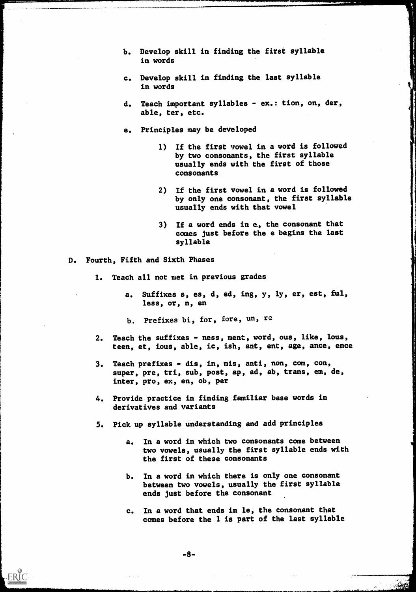- b. Develop skill in finding the first syllable in words
- c. Develop skill in finding the last syllable in words
- d. Teach important syllables ex.: tion, on, der, able, ter, etc.
- e. Principles may be developed
	- 1) If the first vowel in a word is followed by two consonants, the first syllable usually ends with the first of those consonants
	- 2) If the first vowel in a word is followed by only one consonant, the first syllable usually ends with that vowel
	- 3) If a word ends in e, the consonant that comes just before the e begins the last syllable
- D. Fourth, Fifth and Sixth Phases
	- 1. Teach all not met in previous grades
		- a. Suffixes s, es, d, ed, ing, y, ly, er, est, ful, less, or, n, en
		- b. Prefixes bi, for, fore, un, re
	- 2. Teach the suffixes ness, ment, word, ous, like, lous, teen, et, ious, able, ic, ish, ant, ent, age, ance, ence
	- 3. Teach prefixes dis, in, mis, anti, non, com, con, super, pre, tri, sub, post, ap, ad, ab, trans, em, de, inter, pro, ex, en, ob, per
	- 4. Provide practice in finding familiar base words in derivatives and variants
	- 5. Pick up syllable understanding and add principles
		- a. In a word in which two consonants come between two vowels, usually the first syllable ends with the first of these consonants
		- b. In a word in which there is only one consonant between two vowels, usually the first syllable ends just before the consonant
		- c. In a word that ends in le, the consonant that comes before the 1 is part of the last syllable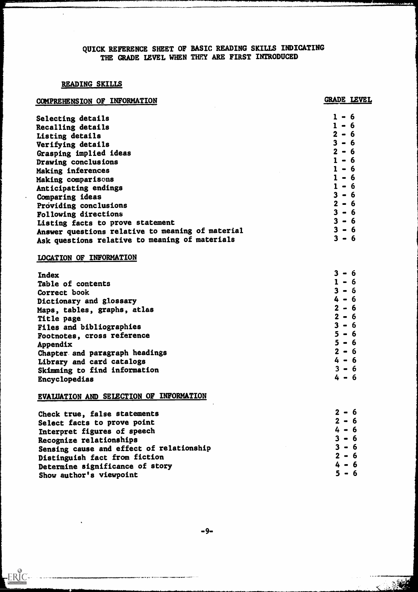### QUICK REFERENCE SHEET OF BASIC READING SKILLS INDICATING THE GRADE LEVEL WHEN THEY ARE FIRST INTRODUCED

#### READING SKILLS

 $\sim 100$ 

ERIC

 $\ddot{\phantom{a}}$ 

| COMPREHENSION OF INFORMATION                     | GRADE LEVEL                                |
|--------------------------------------------------|--------------------------------------------|
| Selecting details                                | $1 - 6$                                    |
| Recalling details                                | $1 - 6$                                    |
| Listing details                                  | $2 - 6$                                    |
| Verifying details                                | $3 - 6$                                    |
| Grasping implied ideas                           | $2 - 6$                                    |
| Drawing conclusions                              | $1 - 6$                                    |
| Making inferences                                | $1 - 6$                                    |
| Making comparisons                               | $1 - 6$                                    |
| Anticipating endings                             | $1 - 6$                                    |
| Comparing ideas                                  | $3 - 6$                                    |
| Providing conclusions                            | $2 - 6$                                    |
| Following directions                             | $3 - 6$                                    |
| Listing facts to prove statement                 | $3 - 6$                                    |
| Answer questions relative to meaning of material | $3 - 6$                                    |
| Ask questions relative to meaning of materials   | $3 - 6$                                    |
| LOCATION OF INFORMATION                          |                                            |
| <b>Index</b>                                     | 3<br>- 6                                   |
| Table of contents                                | $1 - 6$                                    |
| Correct book                                     | $\mathbf{3}$<br>- 6                        |
| Dictionary and glossary                          | 4 - 6                                      |
| Maps, tables, graphs, atlas                      | $2 - 6$                                    |
| Title page                                       | $2 - 6$                                    |
| Files and bibliographies                         | $\overline{\mathbf{3}}$<br>-6<br>$\bullet$ |
| Footnotes, cross reference                       | 5<br>- 6                                   |
| Appendix                                         | - 6<br>נ                                   |
| Chapter and paragraph headings                   | $2 - 6$                                    |
| Library and card catalogs                        | $4 - 6$                                    |
| Skimming to find information                     | $3 - 6$                                    |
| Encyclopedias                                    | $4 - 6$                                    |
| EVALUATION AND SELECTION OF INFORMATION          |                                            |
| Check true, false statements                     | $2 - 6$                                    |
| Select facts to prove point                      | $2 - 6$                                    |
| Interpret figures of speech                      | $4 - 6$                                    |
| Recognize relationships                          | $3 - 6$                                    |
| Sensing cause and effect of relationship         | $3 - 6$                                    |
| Distinguish fact from fiction                    | $2 - 6$                                    |
| Determine significance of story                  | $4 - 6$                                    |
| Show author's viewpoint                          | $5 - 6$                                    |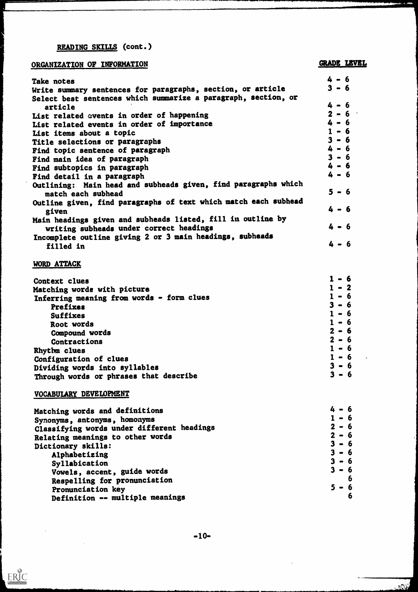# READING SKILLS (cont.)

# ORGANIZATION OF INFORMATION GRADE LEVEL

هی و بو

فتستحدث

| Take notes                                                      | $4 - 6$ |
|-----------------------------------------------------------------|---------|
| Write summary sentences for paragraphs, section, or article     | $3 - 6$ |
| Select best sentences which summarize a paragraph, section, or  |         |
| article                                                         | $4 - 6$ |
| List related events in order of happening                       | $2 - 6$ |
| List related events in order of importance                      | $4 - 6$ |
| List items about a topic                                        | $1 - 6$ |
| Title selections or paragraphs                                  | $3 - 6$ |
| Find topic sentence of paragraph                                | $4 - 6$ |
|                                                                 | $3 - 6$ |
| Find main idea of paragraph                                     | $4 - 6$ |
| Find subtopics in paragraph                                     |         |
| Find detail in a paragraph                                      | $4 - 6$ |
| Outlining: Main head and subheads given, find paragraphs which  |         |
| match each subhead                                              | $5 - 6$ |
| Outline given, find paragraphs of text which match each subhead |         |
|                                                                 | $4 - 6$ |
| given                                                           |         |
| Main headings given and subheads listed, fill in outline by     |         |
| writing subheads under correct headings                         | $4 - 6$ |
| Incomplete outline giving 2 or 3 main headings, subheads        |         |
| filled in                                                       | $4 - 6$ |
|                                                                 |         |

#### WORD ATTACK

| Context clues                             | 1 – 6   |
|-------------------------------------------|---------|
| Matching words with picture               | $1 - 2$ |
| Inferring meaning from words - form clues | $1 - 6$ |
| Prefixes                                  | $3 - 6$ |
| <b>Suffixes</b>                           | $1 - 6$ |
| Root words                                | $1 - 6$ |
| Compound words                            | $2 - 6$ |
| Contractions                              | $2 - 6$ |
| Rhythm clues                              | $1 - 6$ |
| Configuration of clues                    | $1 - 6$ |
| Dividing words into syllables             | $3 - 6$ |
| Through words or phrases that describe    | $3 - 6$ |

# VOCABULARY DEVELOPMENT

 $\bar{\beta}$ 

 $RIC$ </u>

 $\mathcal{L}^{\text{max}}_{\text{max}}$ 

| Matching words and definitions             | $4 - 6$ |
|--------------------------------------------|---------|
| Synonyms, antonyms, homonyms               | $1 - 6$ |
| Classifying words under different headings | $2 - 6$ |
| Relating meanings to other words           | $2 - 6$ |
| Dictionary skills:                         | $3 - 6$ |
| Alphabetizing                              | $3 - 6$ |
| Syllabication                              | $3 - 6$ |
| Vowels, accent, guide words                | $3 - 6$ |
| Respelling for pronunciation               | 6       |
| Pronunciation key                          | $5 - 6$ |
| Definition -- multiple meanings            | 6       |

 $\mathcal{L}^{\text{max}}_{\text{max}}$  and  $\mathcal{L}^{\text{max}}_{\text{max}}$ 

**COLLECTION**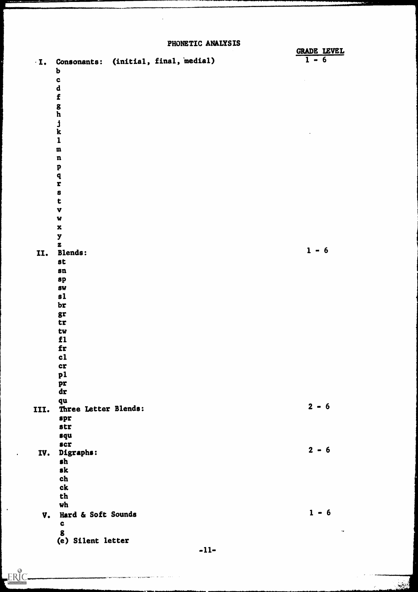PHONETIC ANALYSIS

|            |                                                     | ------ | <b>GRADE LEVEL</b> |  |
|------------|-----------------------------------------------------|--------|--------------------|--|
| $\cdot$ I. | Consonants: (initial, final, medial)<br>$\mathbf b$ |        | $1 - 6$            |  |
|            | $\mathbf c$                                         |        |                    |  |
|            | $\mathbf d$                                         |        |                    |  |
|            | $\mathbf f$                                         |        |                    |  |
|            |                                                     |        |                    |  |
|            | $\frac{g}{h}$                                       |        |                    |  |
|            | j<br>k                                              |        |                    |  |
|            |                                                     |        |                    |  |
|            | $\mathbf{1}$                                        |        |                    |  |
|            | ${\bf m}$                                           |        |                    |  |
|            | $\mathbf n$                                         |        |                    |  |
|            | $\boldsymbol{\mathrm{p}}$                           |        |                    |  |
|            | $\mathbf q$<br>$\mathbf r$                          |        |                    |  |
|            | $\mathbf{s}$                                        |        |                    |  |
|            | t                                                   |        |                    |  |
|            | $\mathbf{v}$                                        |        |                    |  |
|            | W                                                   |        |                    |  |
|            | $\mathbf x$                                         |        |                    |  |
|            | y                                                   |        |                    |  |
|            | $\mathbf{z}$<br><b>Blends:</b>                      |        | $1 - 6$            |  |
| II.        | <b>st</b>                                           |        |                    |  |
|            | $\mathbf{sn}$                                       |        |                    |  |
|            | sp                                                  |        |                    |  |
|            | <b>SW</b>                                           |        |                    |  |
|            | $\mathbf{s}$                                        |        |                    |  |
|            | br                                                  |        |                    |  |
|            | gr                                                  |        |                    |  |
|            | tr                                                  |        |                    |  |
|            | tw<br>f1                                            |        |                    |  |
|            | fr                                                  |        |                    |  |
|            | c1                                                  |        |                    |  |
|            | <b>CT</b>                                           |        |                    |  |
|            | p1                                                  |        |                    |  |
|            | pr                                                  |        |                    |  |
|            | dr                                                  |        |                    |  |
|            | qu                                                  |        | $2 - 6$            |  |
| III.       | Three Letter Blends:                                |        |                    |  |
|            | spr<br>str                                          |        |                    |  |
|            | squ                                                 |        |                    |  |
|            | <b>scr</b>                                          |        |                    |  |
| IV.        | Digraphs:                                           |        | $2 - 6$            |  |
|            | $\mathbf{sh}$                                       |        |                    |  |
|            | sk                                                  |        |                    |  |
|            | ch                                                  |        |                    |  |
|            | $c\mathbf{k}$                                       |        |                    |  |
|            | th                                                  |        |                    |  |
|            | wh                                                  |        | $1 - 6$            |  |
| V.         | Hard & Soft Sounds                                  |        |                    |  |
|            | $\mathbf{c}$<br>$\boldsymbol{g}$                    |        | $\bullet$          |  |
|            | (e) Silent letter                                   |        |                    |  |
|            |                                                     |        |                    |  |

 $-11-$ 

فيغجل

 $\hat{\mathcal{C}}$ 

 $\bullet$ 

ERIC.

الوارد والمستقدرة في رسم بدن في ورد <del>فيكل لا الأول و الدين و ما يكون و المحاول و المحاول الإسلامي</del><br>والأرد والمستقدرة